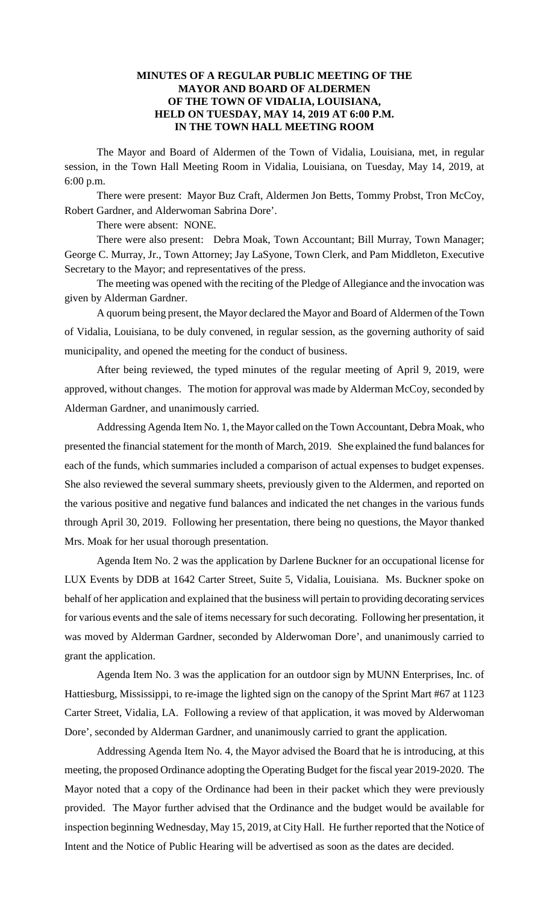## **MINUTES OF A REGULAR PUBLIC MEETING OF THE MAYOR AND BOARD OF ALDERMEN OF THE TOWN OF VIDALIA, LOUISIANA, HELD ON TUESDAY, MAY 14, 2019 AT 6:00 P.M. IN THE TOWN HALL MEETING ROOM**

The Mayor and Board of Aldermen of the Town of Vidalia, Louisiana, met, in regular session, in the Town Hall Meeting Room in Vidalia, Louisiana, on Tuesday, May 14, 2019, at 6:00 p.m.

There were present: Mayor Buz Craft, Aldermen Jon Betts, Tommy Probst, Tron McCoy, Robert Gardner, and Alderwoman Sabrina Dore'.

There were absent: NONE.

There were also present: Debra Moak, Town Accountant; Bill Murray, Town Manager; George C. Murray, Jr., Town Attorney; Jay LaSyone, Town Clerk, and Pam Middleton, Executive Secretary to the Mayor; and representatives of the press.

The meeting was opened with the reciting of the Pledge of Allegiance and the invocation was given by Alderman Gardner.

A quorum being present, the Mayor declared the Mayor and Board of Aldermen of the Town of Vidalia, Louisiana, to be duly convened, in regular session, as the governing authority of said municipality, and opened the meeting for the conduct of business.

After being reviewed, the typed minutes of the regular meeting of April 9, 2019, were approved, without changes. The motion for approval was made by Alderman McCoy, seconded by Alderman Gardner, and unanimously carried.

Addressing Agenda Item No. 1, the Mayor called on the Town Accountant, Debra Moak, who presented the financial statement for the month of March, 2019. She explained the fund balances for each of the funds, which summaries included a comparison of actual expenses to budget expenses. She also reviewed the several summary sheets, previously given to the Aldermen, and reported on the various positive and negative fund balances and indicated the net changes in the various funds through April 30, 2019. Following her presentation, there being no questions, the Mayor thanked Mrs. Moak for her usual thorough presentation.

Agenda Item No. 2 was the application by Darlene Buckner for an occupational license for LUX Events by DDB at 1642 Carter Street, Suite 5, Vidalia, Louisiana. Ms. Buckner spoke on behalf of her application and explained that the business will pertain to providing decorating services for various events and the sale of items necessary for such decorating. Following her presentation, it was moved by Alderman Gardner, seconded by Alderwoman Dore', and unanimously carried to grant the application.

Agenda Item No. 3 was the application for an outdoor sign by MUNN Enterprises, Inc. of Hattiesburg, Mississippi, to re-image the lighted sign on the canopy of the Sprint Mart #67 at 1123 Carter Street, Vidalia, LA. Following a review of that application, it was moved by Alderwoman Dore', seconded by Alderman Gardner, and unanimously carried to grant the application.

Addressing Agenda Item No. 4, the Mayor advised the Board that he is introducing, at this meeting, the proposed Ordinance adopting the Operating Budget for the fiscal year 2019-2020. The Mayor noted that a copy of the Ordinance had been in their packet which they were previously provided. The Mayor further advised that the Ordinance and the budget would be available for inspection beginning Wednesday, May 15, 2019, at City Hall. He further reported that the Notice of Intent and the Notice of Public Hearing will be advertised as soon as the dates are decided.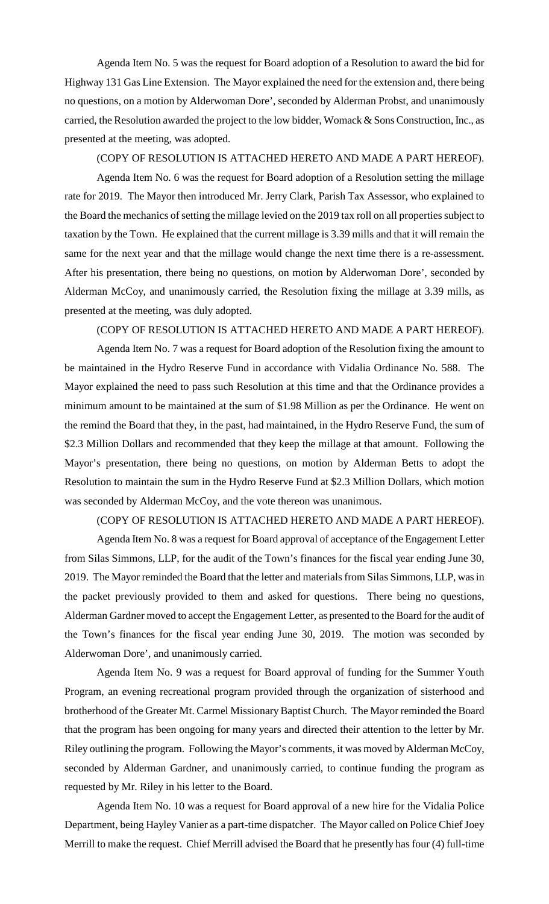Agenda Item No. 5 was the request for Board adoption of a Resolution to award the bid for Highway 131 Gas Line Extension. The Mayor explained the need for the extension and, there being no questions, on a motion by Alderwoman Dore', seconded by Alderman Probst, and unanimously carried, the Resolution awarded the project to the low bidder, Womack & Sons Construction, Inc., as presented at the meeting, was adopted.

#### (COPY OF RESOLUTION IS ATTACHED HERETO AND MADE A PART HEREOF).

Agenda Item No. 6 was the request for Board adoption of a Resolution setting the millage rate for 2019. The Mayor then introduced Mr. Jerry Clark, Parish Tax Assessor, who explained to the Board the mechanics of setting the millage levied on the 2019 tax roll on all properties subject to taxation by the Town. He explained that the current millage is 3.39 mills and that it will remain the same for the next year and that the millage would change the next time there is a re-assessment. After his presentation, there being no questions, on motion by Alderwoman Dore', seconded by Alderman McCoy, and unanimously carried, the Resolution fixing the millage at 3.39 mills, as presented at the meeting, was duly adopted.

## (COPY OF RESOLUTION IS ATTACHED HERETO AND MADE A PART HEREOF).

Agenda Item No. 7 was a request for Board adoption of the Resolution fixing the amount to be maintained in the Hydro Reserve Fund in accordance with Vidalia Ordinance No. 588. The Mayor explained the need to pass such Resolution at this time and that the Ordinance provides a minimum amount to be maintained at the sum of \$1.98 Million as per the Ordinance. He went on the remind the Board that they, in the past, had maintained, in the Hydro Reserve Fund, the sum of \$2.3 Million Dollars and recommended that they keep the millage at that amount. Following the Mayor's presentation, there being no questions, on motion by Alderman Betts to adopt the Resolution to maintain the sum in the Hydro Reserve Fund at \$2.3 Million Dollars, which motion was seconded by Alderman McCoy, and the vote thereon was unanimous.

## (COPY OF RESOLUTION IS ATTACHED HERETO AND MADE A PART HEREOF).

Agenda Item No. 8 was a request for Board approval of acceptance of the Engagement Letter from Silas Simmons, LLP, for the audit of the Town's finances for the fiscal year ending June 30, 2019. The Mayor reminded the Board that the letter and materials from Silas Simmons, LLP, was in the packet previously provided to them and asked for questions. There being no questions, Alderman Gardner moved to accept the Engagement Letter, as presented to the Board for the audit of the Town's finances for the fiscal year ending June 30, 2019. The motion was seconded by Alderwoman Dore', and unanimously carried.

Agenda Item No. 9 was a request for Board approval of funding for the Summer Youth Program, an evening recreational program provided through the organization of sisterhood and brotherhood of the Greater Mt. Carmel Missionary Baptist Church. The Mayor reminded the Board that the program has been ongoing for many years and directed their attention to the letter by Mr. Riley outlining the program. Following the Mayor's comments, it was moved by Alderman McCoy, seconded by Alderman Gardner, and unanimously carried, to continue funding the program as requested by Mr. Riley in his letter to the Board.

Agenda Item No. 10 was a request for Board approval of a new hire for the Vidalia Police Department, being Hayley Vanier as a part-time dispatcher. The Mayor called on Police Chief Joey Merrill to make the request. Chief Merrill advised the Board that he presently has four (4) full-time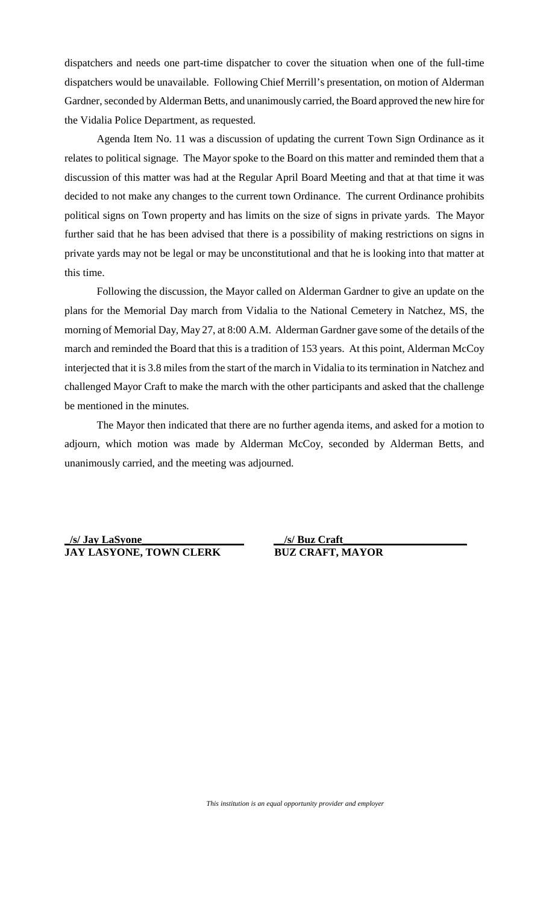dispatchers and needs one part-time dispatcher to cover the situation when one of the full-time dispatchers would be unavailable. Following Chief Merrill's presentation, on motion of Alderman Gardner, seconded by Alderman Betts, and unanimously carried, the Board approved the new hire for the Vidalia Police Department, as requested.

Agenda Item No. 11 was a discussion of updating the current Town Sign Ordinance as it relates to political signage. The Mayor spoke to the Board on this matter and reminded them that a discussion of this matter was had at the Regular April Board Meeting and that at that time it was decided to not make any changes to the current town Ordinance. The current Ordinance prohibits political signs on Town property and has limits on the size of signs in private yards. The Mayor further said that he has been advised that there is a possibility of making restrictions on signs in private yards may not be legal or may be unconstitutional and that he is looking into that matter at this time.

Following the discussion, the Mayor called on Alderman Gardner to give an update on the plans for the Memorial Day march from Vidalia to the National Cemetery in Natchez, MS, the morning of Memorial Day, May 27, at 8:00 A.M. Alderman Gardner gave some of the details of the march and reminded the Board that this is a tradition of 153 years. At this point, Alderman McCoy interjected that it is 3.8 miles from the start of the march in Vidalia to its termination in Natchez and challenged Mayor Craft to make the march with the other participants and asked that the challenge be mentioned in the minutes.

The Mayor then indicated that there are no further agenda items, and asked for a motion to adjourn, which motion was made by Alderman McCoy, seconded by Alderman Betts, and unanimously carried, and the meeting was adjourned.

**\_/s/ Jay LaSyone\_\_\_\_\_\_\_\_\_\_\_\_\_\_\_\_\_\_\_ JAY LASYONE, TOWN CLERK BUZ CRAFT, MAYOR**

**\_\_/s/ Buz Craft\_\_\_\_\_\_\_\_\_\_\_\_\_\_\_\_\_\_\_\_\_\_\_**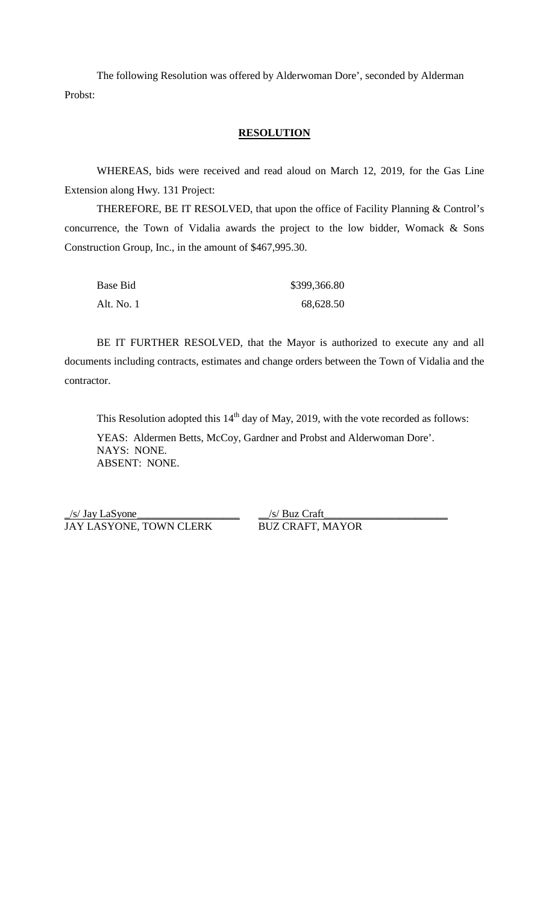The following Resolution was offered by Alderwoman Dore', seconded by Alderman Probst:

## **RESOLUTION**

WHEREAS, bids were received and read aloud on March 12, 2019, for the Gas Line Extension along Hwy. 131 Project:

THEREFORE, BE IT RESOLVED, that upon the office of Facility Planning & Control's concurrence, the Town of Vidalia awards the project to the low bidder, Womack & Sons Construction Group, Inc., in the amount of \$467,995.30.

| Base Bid   | \$399,366.80 |
|------------|--------------|
| Alt. No. 1 | 68,628.50    |

BE IT FURTHER RESOLVED, that the Mayor is authorized to execute any and all documents including contracts, estimates and change orders between the Town of Vidalia and the contractor.

This Resolution adopted this  $14<sup>th</sup>$  day of May, 2019, with the vote recorded as follows: YEAS: Aldermen Betts, McCoy, Gardner and Probst and Alderwoman Dore'. NAYS: NONE. ABSENT: NONE.

 $\frac{1}{s}$  Jay LaSyone JAY LASYONE, TOWN CLERK BUZ CRAFT, MAYOR

 $\frac{1}{s}$  Buz Craft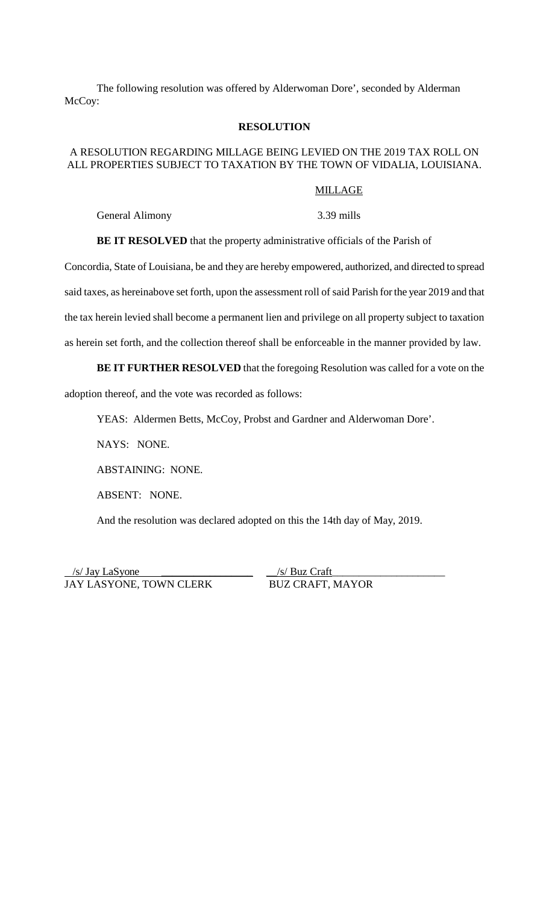The following resolution was offered by Alderwoman Dore', seconded by Alderman McCoy:

## **RESOLUTION**

# A RESOLUTION REGARDING MILLAGE BEING LEVIED ON THE 2019 TAX ROLL ON ALL PROPERTIES SUBJECT TO TAXATION BY THE TOWN OF VIDALIA, LOUISIANA.

## MILLAGE

General Alimony 3.39 mills

**BE IT RESOLVED** that the property administrative officials of the Parish of

Concordia, State of Louisiana, be and they are hereby empowered, authorized, and directed to spread said taxes, as hereinabove set forth, upon the assessment roll of said Parish for the year 2019 and that the tax herein levied shall become a permanent lien and privilege on all property subject to taxation as herein set forth, and the collection thereof shall be enforceable in the manner provided by law.

# **BE IT FURTHER RESOLVED** that the foregoing Resolution was called for a vote on the adoption thereof, and the vote was recorded as follows:

YEAS: Aldermen Betts, McCoy, Probst and Gardner and Alderwoman Dore'.

NAYS: NONE.

ABSTAINING: NONE.

ABSENT: NONE.

And the resolution was declared adopted on this the 14th day of May, 2019.

 /s/ Jay LaSyone \_\_\_\_\_\_\_\_\_\_\_\_\_\_\_\_\_ \_\_/s/ Buz Craft\_\_\_\_\_\_\_\_\_\_\_\_\_\_\_\_\_\_\_\_\_ JAY LASYONE, TOWN CLERK